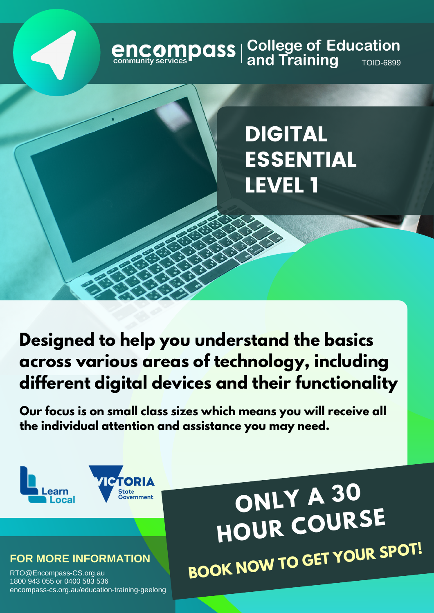# **encompass** | College of Education<br>
community services **Paral State of Additional Additional Additional Property**

# DIGITAL ESSENTIAL LEVEL 1

**Designed to help you understand the basics across various areas of technology, including different digital devices and their functionality**

**Our focus is on small class sizes which means you will receive all the individual attention and assistance you may need.**



#### **FOR MORE INFORMATION**

RTO@Encompass-CS.org.au 1800 943 055 or 0400 583 536 encompass-cs.org.au/education-training-geelong

**ONLY <sup>A</sup> <sup>30</sup> HOUR COURSE BOOK NOW TO GET YOUR SPOT!**